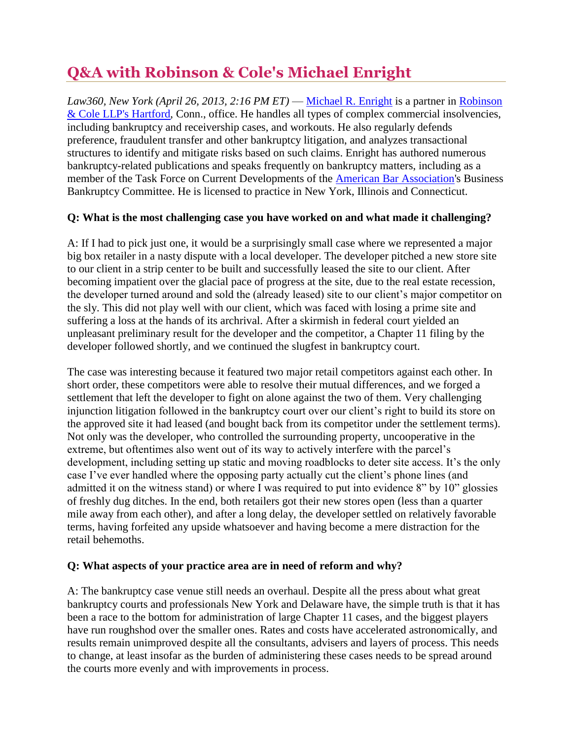# **Q&A with Robinson & Cole's Michael Enright**

*Law360, New York (April 26, 2013, 2:16 PM ET)* — [Michael R. Enright](http://www.rc.com/Bio.cfm?eID=761) is a partner in Robinson [& Cole LLP's Hartford,](http://www.law360.com/firm/robinson-cole) Conn., office. He handles all types of complex commercial insolvencies, including bankruptcy and receivership cases, and workouts. He also regularly defends preference, fraudulent transfer and other bankruptcy litigation, and analyzes transactional structures to identify and mitigate risks based on such claims. Enright has authored numerous bankruptcy-related publications and speaks frequently on bankruptcy matters, including as a member of the Task Force on Current Developments of the [American Bar Association's](http://www.law360.com/company/american-bar-association) Business Bankruptcy Committee. He is licensed to practice in New York, Illinois and Connecticut.

## **Q: What is the most challenging case you have worked on and what made it challenging?**

A: If I had to pick just one, it would be a surprisingly small case where we represented a major big box retailer in a nasty dispute with a local developer. The developer pitched a new store site to our client in a strip center to be built and successfully leased the site to our client. After becoming impatient over the glacial pace of progress at the site, due to the real estate recession, the developer turned around and sold the (already leased) site to our client's major competitor on the sly. This did not play well with our client, which was faced with losing a prime site and suffering a loss at the hands of its archrival. After a skirmish in federal court yielded an unpleasant preliminary result for the developer and the competitor, a Chapter 11 filing by the developer followed shortly, and we continued the slugfest in bankruptcy court.

The case was interesting because it featured two major retail competitors against each other. In short order, these competitors were able to resolve their mutual differences, and we forged a settlement that left the developer to fight on alone against the two of them. Very challenging injunction litigation followed in the bankruptcy court over our client's right to build its store on the approved site it had leased (and bought back from its competitor under the settlement terms). Not only was the developer, who controlled the surrounding property, uncooperative in the extreme, but oftentimes also went out of its way to actively interfere with the parcel's development, including setting up static and moving roadblocks to deter site access. It's the only case I've ever handled where the opposing party actually cut the client's phone lines (and admitted it on the witness stand) or where I was required to put into evidence 8" by 10" glossies of freshly dug ditches. In the end, both retailers got their new stores open (less than a quarter mile away from each other), and after a long delay, the developer settled on relatively favorable terms, having forfeited any upside whatsoever and having become a mere distraction for the retail behemoths.

#### **Q: What aspects of your practice area are in need of reform and why?**

A: The bankruptcy case venue still needs an overhaul. Despite all the press about what great bankruptcy courts and professionals New York and Delaware have, the simple truth is that it has been a race to the bottom for administration of large Chapter 11 cases, and the biggest players have run roughshod over the smaller ones. Rates and costs have accelerated astronomically, and results remain unimproved despite all the consultants, advisers and layers of process. This needs to change, at least insofar as the burden of administering these cases needs to be spread around the courts more evenly and with improvements in process.